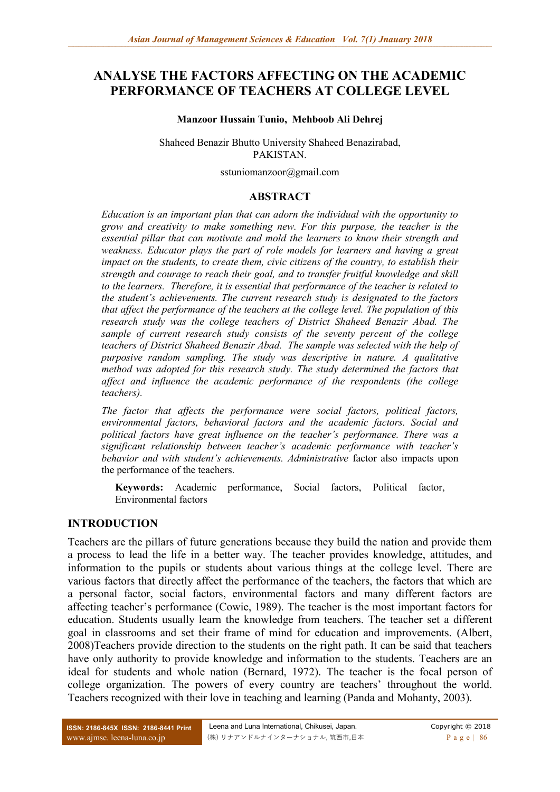# **ANALYSE THE FACTORS AFFECTING ON THE ACADEMIC PERFORMANCE OF TEACHERS AT COLLEGE LEVEL**

#### **Manzoor Hussain Tunio, Mehboob Ali Dehrej**

Shaheed Benazir Bhutto University Shaheed Benazirabad, PAKISTAN.

[sstuniomanzoor@gmail.com](mailto:sstuniomanzoor@gmail.com)

#### **ABSTRACT**

*Education is an important plan that can adorn the individual with the opportunity to grow and creativity to make something new. For this purpose, the teacher is the essential pillar that can motivate and mold the learners to know their strength and weakness. Educator plays the part of role models for learners and having a great impact on the students, to create them, civic citizens of the country, to establish their strength and courage to reach their goal, and to transfer fruitful knowledge and skill to the learners. Therefore, it is essential that performance of the teacher is related to the student's achievements. The current research study is designated to the factors that affect the performance of the teachers at the college level. The population of this research study was the college teachers of District Shaheed Benazir Abad. The sample of current research study consists of the seventy percent of the college teachers of District Shaheed Benazir Abad. The sample was selected with the help of purposive random sampling. The study was descriptive in nature. A qualitative method was adopted for this research study. The study determined the factors that affect and influence the academic performance of the respondents (the college teachers).* 

*The factor that affects the performance were social factors, political factors, environmental factors, behavioral factors and the academic factors. Social and political factors have great influence on the teacher's performance. There was a significant relationship between teacher's academic performance with teacher's behavior and with student's achievements. Administrative* factor also impacts upon the performance of the teachers.

**Keywords:** Academic performance, Social factors, Political factor, Environmental factors

### **INTRODUCTION**

Teachers are the pillars of future generations because they build the nation and provide them a process to lead the life in a better way. The teacher provides knowledge, attitudes, and information to the pupils or students about various things at the college level. There are various factors that directly affect the performance of the teachers, the factors that which are a personal factor, social factors, environmental factors and many different factors are affecting teacher's performance (Cowie, 1989). The teacher is the most important factors for education. Students usually learn the knowledge from teachers. The teacher set a different goal in classrooms and set their frame of mind for education and improvements. (Albert, 2008)Teachers provide direction to the students on the right path. It can be said that teachers have only authority to provide knowledge and information to the students. Teachers are an ideal for students and whole nation (Bernard, 1972). The teacher is the focal person of college organization. The powers of every country are teachers' throughout the world. Teachers recognized with their love in teaching and learning (Panda and Mohanty, 2003).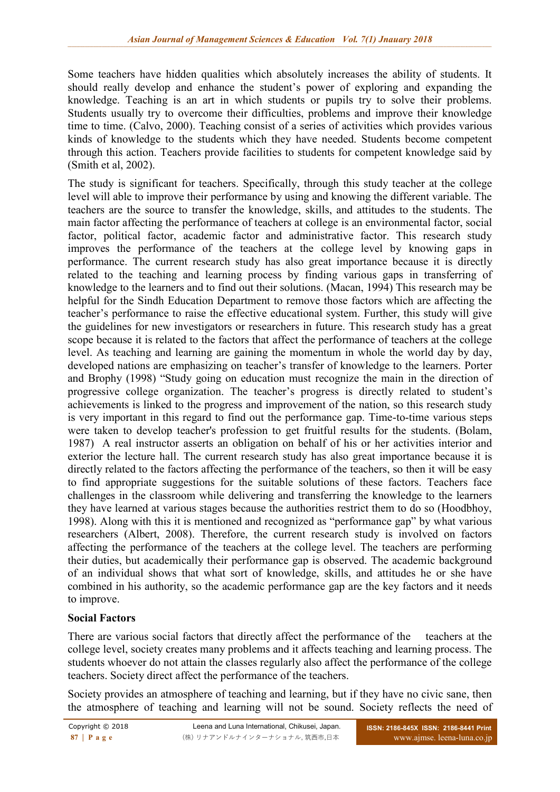Some teachers have hidden qualities which absolutely increases the ability of students. It should really develop and enhance the student's power of exploring and expanding the knowledge. Teaching is an art in which students or pupils try to solve their problems. Students usually try to overcome their difficulties, problems and improve their knowledge time to time. (Calvo, 2000). Teaching consist of a series of activities which provides various kinds of knowledge to the students which they have needed. Students become competent through this action. Teachers provide facilities to students for competent knowledge said by (Smith et al, 2002).

The study is significant for teachers. Specifically, through this study teacher at the college level will able to improve their performance by using and knowing the different variable. The teachers are the source to transfer the knowledge, skills, and attitudes to the students. The main factor affecting the performance of teachers at college is an environmental factor, social factor, political factor, academic factor and administrative factor. This research study improves the performance of the teachers at the college level by knowing gaps in performance. The current research study has also great importance because it is directly related to the teaching and learning process by finding various gaps in transferring of knowledge to the learners and to find out their solutions. (Macan, 1994) This research may be helpful for the Sindh Education Department to remove those factors which are affecting the teacher's performance to raise the effective educational system. Further, this study will give the guidelines for new investigators or researchers in future. This research study has a great scope because it is related to the factors that affect the performance of teachers at the college level. As teaching and learning are gaining the momentum in whole the world day by day, developed nations are emphasizing on teacher's transfer of knowledge to the learners. Porter and Brophy (1998) "Study going on education must recognize the main in the direction of progressive college organization. The teacher's progress is directly related to student's achievements is linked to the progress and improvement of the nation, so this research study is very important in this regard to find out the performance gap. Time-to-time various steps were taken to develop teacher's profession to get fruitful results for the students. (Bolam, 1987) A real instructor asserts an obligation on behalf of his or her activities interior and exterior the lecture hall. The current research study has also great importance because it is directly related to the factors affecting the performance of the teachers, so then it will be easy to find appropriate suggestions for the suitable solutions of these factors. Teachers face challenges in the classroom while delivering and transferring the knowledge to the learners they have learned at various stages because the authorities restrict them to do so (Hoodbhoy, 1998). Along with this it is mentioned and recognized as "performance gap" by what various researchers (Albert, 2008). Therefore, the current research study is involved on factors affecting the performance of the teachers at the college level. The teachers are performing their duties, but academically their performance gap is observed. The academic background of an individual shows that what sort of knowledge, skills, and attitudes he or she have combined in his authority, so the academic performance gap are the key factors and it needs to improve.

### **Social Factors**

There are various social factors that directly affect the performance of the teachers at the college level, society creates many problems and it affects teaching and learning process. The students whoever do not attain the classes regularly also affect the performance of the college teachers. Society direct affect the performance of the teachers.

Society provides an atmosphere of teaching and learning, but if they have no civic sane, then the atmosphere of teaching and learning will not be sound. Society reflects the need of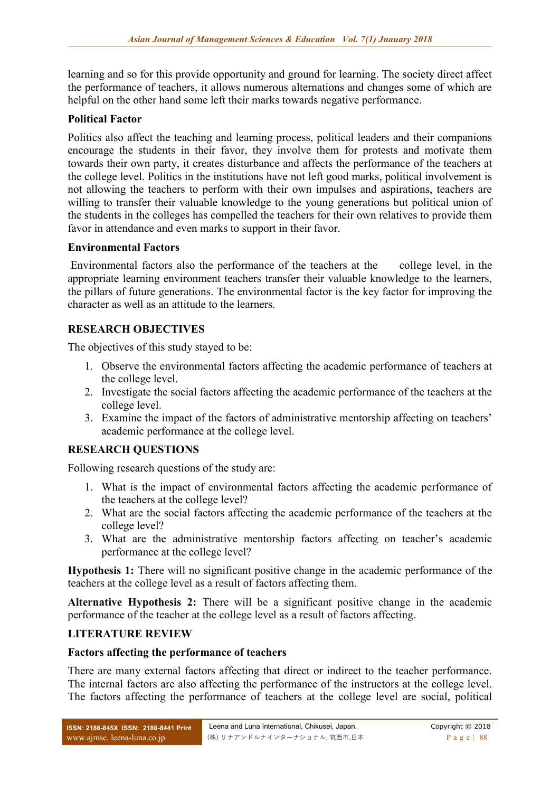learning and so for this provide opportunity and ground for learning. The society direct affect the performance of teachers, it allows numerous alternations and changes some of which are helpful on the other hand some left their marks towards negative performance.

### **Political Factor**

Politics also affect the teaching and learning process, political leaders and their companions encourage the students in their favor, they involve them for protests and motivate them towards their own party, it creates disturbance and affects the performance of the teachers at the college level. Politics in the institutions have not left good marks, political involvement is not allowing the teachers to perform with their own impulses and aspirations, teachers are willing to transfer their valuable knowledge to the young generations but political union of the students in the colleges has compelled the teachers for their own relatives to provide them favor in attendance and even marks to support in their favor.

### **Environmental Factors**

Environmental factors also the performance of the teachers at the college level, in the appropriate learning environment teachers transfer their valuable knowledge to the learners, the pillars of future generations. The environmental factor is the key factor for improving the character as well as an attitude to the learners.

# **RESEARCH OBJECTIVES**

The objectives of this study stayed to be:

- 1. Observe the environmental factors affecting the academic performance of teachers at the college level.
- 2. Investigate the social factors affecting the academic performance of the teachers at the college level.
- 3. Examine the impact of the factors of administrative mentorship affecting on teachers' academic performance at the college level.

### **RESEARCH QUESTIONS**

Following research questions of the study are:

- 1. What is the impact of environmental factors affecting the academic performance of the teachers at the college level?
- 2. What are the social factors affecting the academic performance of the teachers at the college level?
- 3. What are the administrative mentorship factors affecting on teacher's academic performance at the college level?

**Hypothesis 1:** There will no significant positive change in the academic performance of the teachers at the college level as a result of factors affecting them.

**Alternative Hypothesis 2:** There will be a significant positive change in the academic performance of the teacher at the college level as a result of factors affecting.

### **LITERATURE REVIEW**

#### **Factors affecting the performance of teachers**

There are many external factors affecting that direct or indirect to the teacher performance. The internal factors are also affecting the performance of the instructors at the college level. The factors affecting the performance of teachers at the college level are social, political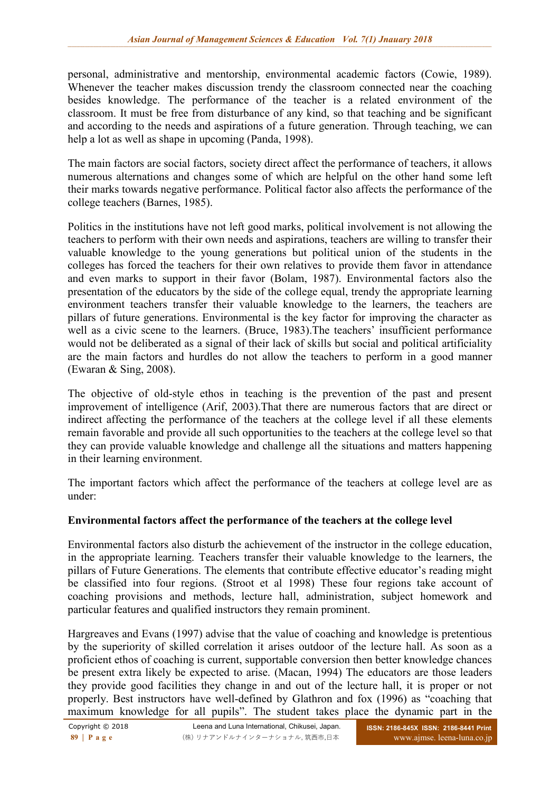personal, administrative and mentorship, environmental academic factors (Cowie, 1989). Whenever the teacher makes discussion trendy the classroom connected near the coaching besides knowledge. The performance of the teacher is a related environment of the classroom. It must be free from disturbance of any kind, so that teaching and be significant and according to the needs and aspirations of a future generation. Through teaching, we can help a lot as well as shape in upcoming (Panda, 1998).

The main factors are social factors, society direct affect the performance of teachers, it allows numerous alternations and changes some of which are helpful on the other hand some left their marks towards negative performance. Political factor also affects the performance of the college teachers (Barnes, 1985).

Politics in the institutions have not left good marks, political involvement is not allowing the teachers to perform with their own needs and aspirations, teachers are willing to transfer their valuable knowledge to the young generations but political union of the students in the colleges has forced the teachers for their own relatives to provide them favor in attendance and even marks to support in their favor (Bolam, 1987). Environmental factors also the presentation of the educators by the side of the college equal, trendy the appropriate learning environment teachers transfer their valuable knowledge to the learners, the teachers are pillars of future generations. Environmental is the key factor for improving the character as well as a civic scene to the learners. (Bruce, 1983).The teachers' insufficient performance would not be deliberated as a signal of their lack of skills but social and political artificiality are the main factors and hurdles do not allow the teachers to perform in a good manner (Ewaran & Sing, 2008).

The objective of old-style ethos in teaching is the prevention of the past and present improvement of intelligence (Arif, 2003).That there are numerous factors that are direct or indirect affecting the performance of the teachers at the college level if all these elements remain favorable and provide all such opportunities to the teachers at the college level so that they can provide valuable knowledge and challenge all the situations and matters happening in their learning environment.

The important factors which affect the performance of the teachers at college level are as under:

### **Environmental factors affect the performance of the teachers at the college level**

Environmental factors also disturb the achievement of the instructor in the college education, in the appropriate learning. Teachers transfer their valuable knowledge to the learners, the pillars of Future Generations. The elements that contribute effective educator's reading might be classified into four regions. (Stroot et al 1998) These four regions take account of coaching provisions and methods, lecture hall, administration, subject homework and particular features and qualified instructors they remain prominent.

Hargreaves and Evans (1997) advise that the value of coaching and knowledge is pretentious by the superiority of skilled correlation it arises outdoor of the lecture hall. As soon as a proficient ethos of coaching is current, supportable conversion then better knowledge chances be present extra likely be expected to arise. (Macan, 1994) The educators are those leaders they provide good facilities they change in and out of the lecture hall, it is proper or not properly. Best instructors have well-defined by Glathron and fox (1996) as "coaching that maximum knowledge for all pupils". The student takes place the dynamic part in the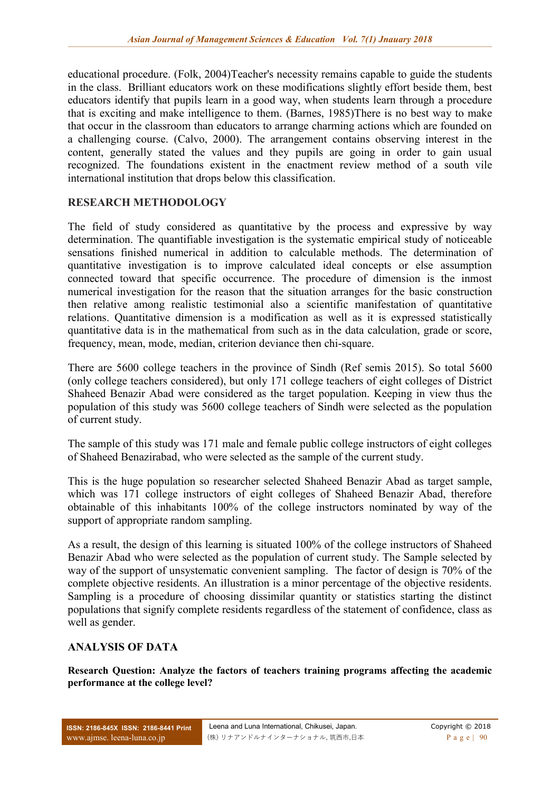educational procedure. (Folk, 2004)Teacher's necessity remains capable to guide the students in the class. Brilliant educators work on these modifications slightly effort beside them, best educators identify that pupils learn in a good way, when students learn through a procedure that is exciting and make intelligence to them. (Barnes, 1985)There is no best way to make that occur in the classroom than educators to arrange charming actions which are founded on a challenging course. (Calvo, 2000). The arrangement contains observing interest in the content, generally stated the values and they pupils are going in order to gain usual recognized. The foundations existent in the enactment review method of a south vile international institution that drops below this classification.

# **RESEARCH METHODOLOGY**

The field of study considered as quantitative by the process and expressive by way determination. The quantifiable investigation is the systematic empirical study of noticeable sensations finished numerical in addition to calculable methods. The determination of quantitative investigation is to improve calculated ideal concepts or else assumption connected toward that specific occurrence. The procedure of dimension is the inmost numerical investigation for the reason that the situation arranges for the basic construction then relative among realistic testimonial also a scientific manifestation of quantitative relations. Quantitative dimension is a modification as well as it is expressed statistically quantitative data is in the mathematical from such as in the data calculation, grade or score, frequency, mean, mode, median, criterion deviance then chi-square.

There are 5600 college teachers in the province of Sindh (Ref semis 2015). So total 5600 (only college teachers considered), but only 171 college teachers of eight colleges of District Shaheed Benazir Abad were considered as the target population. Keeping in view thus the population of this study was 5600 college teachers of Sindh were selected as the population of current study.

The sample of this study was 171 male and female public college instructors of eight colleges of Shaheed Benazirabad, who were selected as the sample of the current study.

This is the huge population so researcher selected Shaheed Benazir Abad as target sample, which was 171 college instructors of eight colleges of Shaheed Benazir Abad, therefore obtainable of this inhabitants 100% of the college instructors nominated by way of the support of appropriate random sampling.

As a result, the design of this learning is situated 100% of the college instructors of Shaheed Benazir Abad who were selected as the population of current study. The Sample selected by way of the support of unsystematic convenient sampling. The factor of design is 70% of the complete objective residents. An illustration is a minor percentage of the objective residents. Sampling is a procedure of choosing dissimilar quantity or statistics starting the distinct populations that signify complete residents regardless of the statement of confidence, class as well as gender.

### **ANALYSIS OF DATA**

**Research Question: Analyze the factors of teachers training programs affecting the academic performance at the college level?**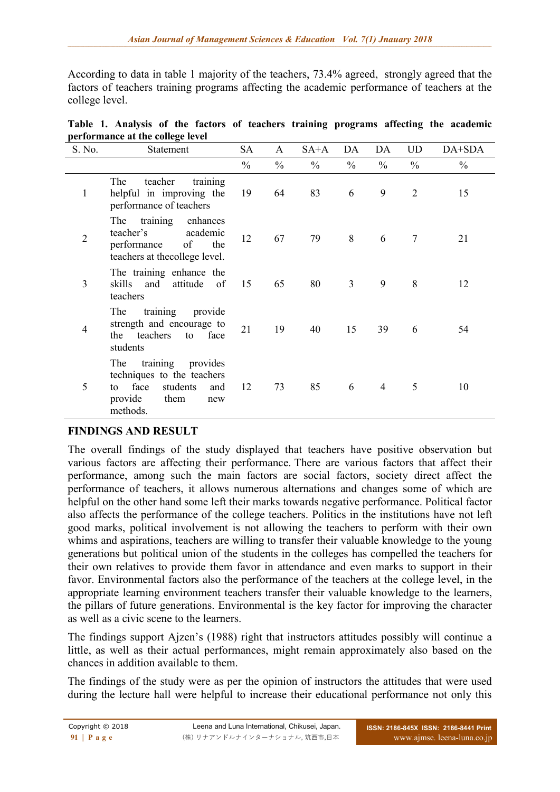According to data in table 1 majority of the teachers, 73.4% agreed, strongly agreed that the factors of teachers training programs affecting the academic performance of teachers at the college level.

| S. No.         | Statement                                                                                                                     | <b>SA</b>     | A             | $SA+A$        | DA             | DA             | UD             | DA+SDA        |
|----------------|-------------------------------------------------------------------------------------------------------------------------------|---------------|---------------|---------------|----------------|----------------|----------------|---------------|
|                |                                                                                                                               | $\frac{0}{0}$ | $\frac{0}{0}$ | $\frac{0}{0}$ | $\frac{0}{0}$  | $\frac{0}{0}$  | $\frac{0}{0}$  | $\frac{0}{0}$ |
| $\mathbf{1}$   | The<br>teacher<br>training<br>helpful in improving the<br>performance of teachers                                             | 19            | 64            | 83            | 6              | 9              | $\overline{2}$ | 15            |
| $\overline{2}$ | The training<br>enhances<br>teacher's<br>academic<br>performance<br>of<br>the<br>teachers at the<br>college level.            | 12            | 67            | 79            | 8              | 6              | 7              | 21            |
| 3              | The training enhance the<br>skills and<br>attitude<br>of<br>teachers                                                          | 15            | 65            | 80            | $\overline{3}$ | 9              | 8              | 12            |
| $\overline{4}$ | training provide<br>The<br>strength and encourage to<br>the teachers<br>to face<br>students                                   | 21            | 19            | 40            | 15             | 39             | 6              | 54            |
| 5              | training provides<br>The<br>techniques to the teachers<br>face<br>students<br>and<br>to<br>provide<br>them<br>new<br>methods. | 12            | 73            | 85            | 6              | $\overline{4}$ | 5              | 10            |

|                                  |  |  |  |  |  |  |  |  | Table 1. Analysis of the factors of teachers training programs affecting the academic |  |  |  |
|----------------------------------|--|--|--|--|--|--|--|--|---------------------------------------------------------------------------------------|--|--|--|
| performance at the college level |  |  |  |  |  |  |  |  |                                                                                       |  |  |  |

# **FINDINGS AND RESULT**

The overall findings of the study displayed that teachers have positive observation but various factors are affecting their performance. There are various factors that affect their performance, among such the main factors are social factors, society direct affect the performance of teachers, it allows numerous alternations and changes some of which are helpful on the other hand some left their marks towards negative performance. Political factor also affects the performance of the college teachers. Politics in the institutions have not left good marks, political involvement is not allowing the teachers to perform with their own whims and aspirations, teachers are willing to transfer their valuable knowledge to the young generations but political union of the students in the colleges has compelled the teachers for their own relatives to provide them favor in attendance and even marks to support in their favor. Environmental factors also the performance of the teachers at the college level, in the appropriate learning environment teachers transfer their valuable knowledge to the learners, the pillars of future generations. Environmental is the key factor for improving the character as well as a civic scene to the learners.

The findings support Ajzen's (1988) right that instructors attitudes possibly will continue a little, as well as their actual performances, might remain approximately also based on the chances in addition available to them.

The findings of the study were as per the opinion of instructors the attitudes that were used during the lecture hall were helpful to increase their educational performance not only this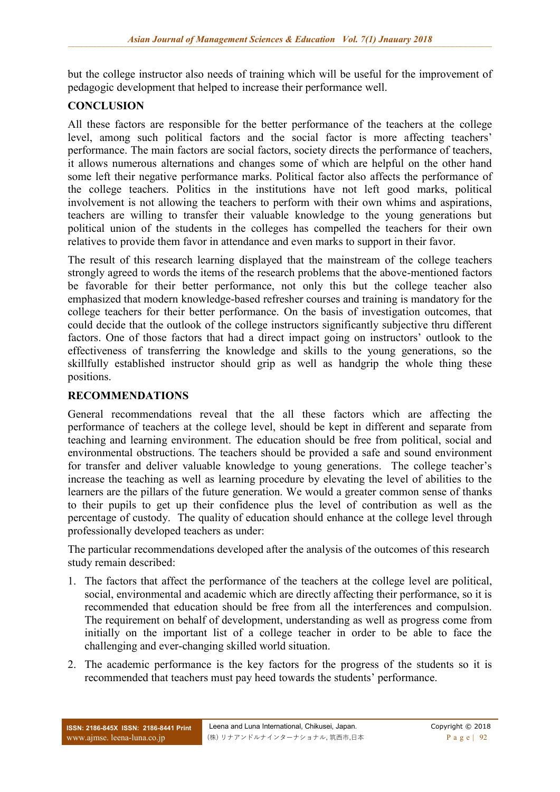but the college instructor also needs of training which will be useful for the improvement of pedagogic development that helped to increase their performance well.

# **CONCLUSION**

All these factors are responsible for the better performance of the teachers at the college level, among such political factors and the social factor is more affecting teachers' performance. The main factors are social factors, society directs the performance of teachers, it allows numerous alternations and changes some of which are helpful on the other hand some left their negative performance marks. Political factor also affects the performance of the college teachers. Politics in the institutions have not left good marks, political involvement is not allowing the teachers to perform with their own whims and aspirations, teachers are willing to transfer their valuable knowledge to the young generations but political union of the students in the colleges has compelled the teachers for their own relatives to provide them favor in attendance and even marks to support in their favor.

The result of this research learning displayed that the mainstream of the college teachers strongly agreed to words the items of the research problems that the above-mentioned factors be favorable for their better performance, not only this but the college teacher also emphasized that modern knowledge-based refresher courses and training is mandatory for the college teachers for their better performance. On the basis of investigation outcomes, that could decide that the outlook of the college instructors significantly subjective thru different factors. One of those factors that had a direct impact going on instructors' outlook to the effectiveness of transferring the knowledge and skills to the young generations, so the skillfully established instructor should grip as well as handgrip the whole thing these positions.

### **RECOMMENDATIONS**

General recommendations reveal that the all these factors which are affecting the performance of teachers at the college level, should be kept in different and separate from teaching and learning environment. The education should be free from political, social and environmental obstructions. The teachers should be provided a safe and sound environment for transfer and deliver valuable knowledge to young generations. The college teacher's increase the teaching as well as learning procedure by elevating the level of abilities to the learners are the pillars of the future generation. We would a greater common sense of thanks to their pupils to get up their confidence plus the level of contribution as well as the percentage of custody. The quality of education should enhance at the college level through professionally developed teachers as under:

The particular recommendations developed after the analysis of the outcomes of this research study remain described:

- 1. The factors that affect the performance of the teachers at the college level are political, social, environmental and academic which are directly affecting their performance, so it is recommended that education should be free from all the interferences and compulsion. The requirement on behalf of development, understanding as well as progress come from initially on the important list of a college teacher in order to be able to face the challenging and ever-changing skilled world situation.
- 2. The academic performance is the key factors for the progress of the students so it is recommended that teachers must pay heed towards the students' performance.